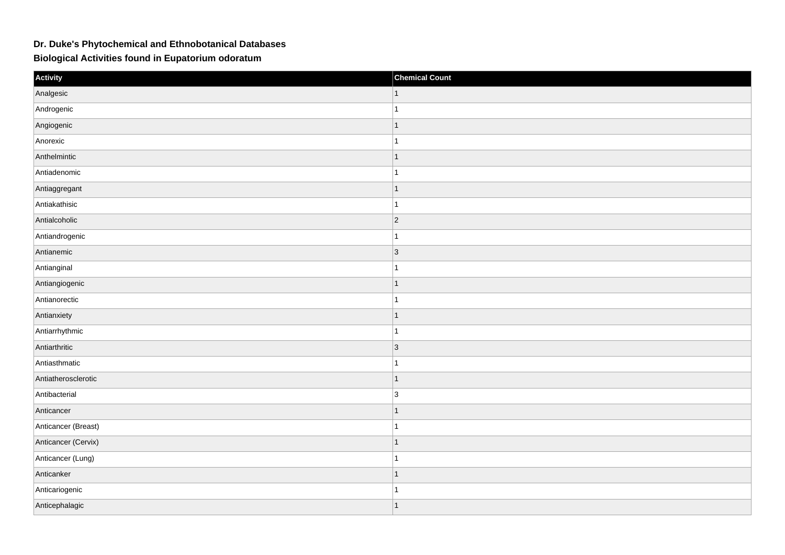## **Dr. Duke's Phytochemical and Ethnobotanical Databases**

**Biological Activities found in Eupatorium odoratum**

| Activity            | <b>Chemical Count</b> |
|---------------------|-----------------------|
| Analgesic           | 1                     |
| Androgenic          | 1                     |
| Angiogenic          | 1                     |
| Anorexic            | 1                     |
| Anthelmintic        | $\mathbf{1}$          |
| Antiadenomic        | 1                     |
| Antiaggregant       | 1                     |
| Antiakathisic       | $\overline{1}$        |
| Antialcoholic       | $ 2\rangle$           |
| Antiandrogenic      | 1                     |
| Antianemic          | 3                     |
| Antianginal         | 1                     |
| Antiangiogenic      | 1                     |
| Antianorectic       | 1                     |
| Antianxiety         | $\overline{1}$        |
| Antiarrhythmic      | 1                     |
| Antiarthritic       | $ 3\rangle$           |
| Antiasthmatic       | 1                     |
| Antiatherosclerotic | 1                     |
| Antibacterial       | 3                     |
| Anticancer          | 1                     |
| Anticancer (Breast) | 1                     |
| Anticancer (Cervix) | $\mathbf{1}$          |
| Anticancer (Lung)   | 1                     |
| Anticanker          | 1                     |
| Anticariogenic      | 1                     |
| Anticephalagic      | $\overline{1}$        |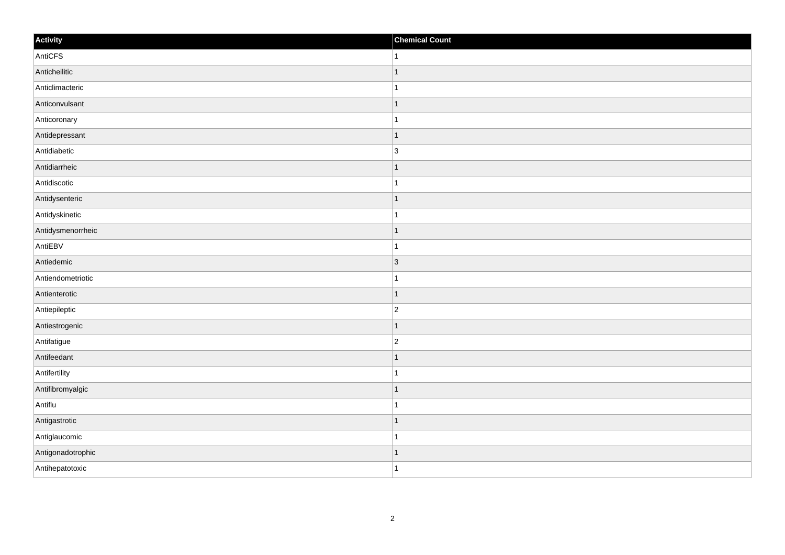| Activity          | <b>Chemical Count</b> |
|-------------------|-----------------------|
| AntiCFS           | 1                     |
| Anticheilitic     |                       |
| Anticlimacteric   |                       |
| Anticonvulsant    | 1                     |
| Anticoronary      | 1                     |
| Antidepressant    |                       |
| Antidiabetic      | $\overline{3}$        |
| Antidiarrheic     |                       |
| Antidiscotic      |                       |
| Antidysenteric    | -1                    |
| Antidyskinetic    | 1                     |
| Antidysmenorrheic |                       |
| AntiEBV           |                       |
| Antiedemic        | $\vert$ 3             |
| Antiendometriotic |                       |
| Antienterotic     | 1                     |
| Antiepileptic     | $\overline{2}$        |
| Antiestrogenic    |                       |
| Antifatigue       | $\overline{c}$        |
| Antifeedant       |                       |
| Antifertility     |                       |
| Antifibromyalgic  | 1                     |
| Antiflu           | 1                     |
| Antigastrotic     |                       |
| Antiglaucomic     |                       |
| Antigonadotrophic | -1                    |
| Antihepatotoxic   | -1                    |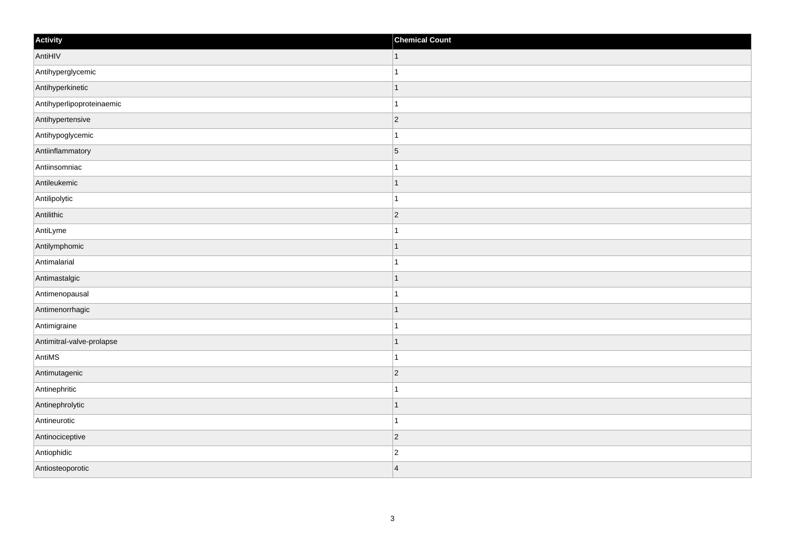| Activity                  | <b>Chemical Count</b> |
|---------------------------|-----------------------|
| AntiHIV                   | $\vert$ 1             |
| Antihyperglycemic         |                       |
| Antihyperkinetic          |                       |
| Antihyperlipoproteinaemic |                       |
| Antihypertensive          | $\overline{2}$        |
| Antihypoglycemic          |                       |
| Antiinflammatory          | $\overline{5}$        |
| Antiinsomniac             | 1                     |
| Antileukemic              |                       |
| Antilipolytic             |                       |
| Antilithic                | $\vert$ 2             |
| AntiLyme                  |                       |
| Antilymphomic             | 1                     |
| Antimalarial              | 1                     |
| Antimastalgic             |                       |
| Antimenopausal            |                       |
| Antimenorrhagic           |                       |
| Antimigraine              |                       |
| Antimitral-valve-prolapse | 1                     |
| AntiMS                    | 1                     |
| Antimutagenic             | $\vert$ 2             |
| Antinephritic             |                       |
| Antinephrolytic           | 1                     |
| Antineurotic              | -1                    |
| Antinociceptive           | $\vert$ 2             |
| Antiophidic               | $\overline{2}$        |
| Antiosteoporotic          | $\overline{4}$        |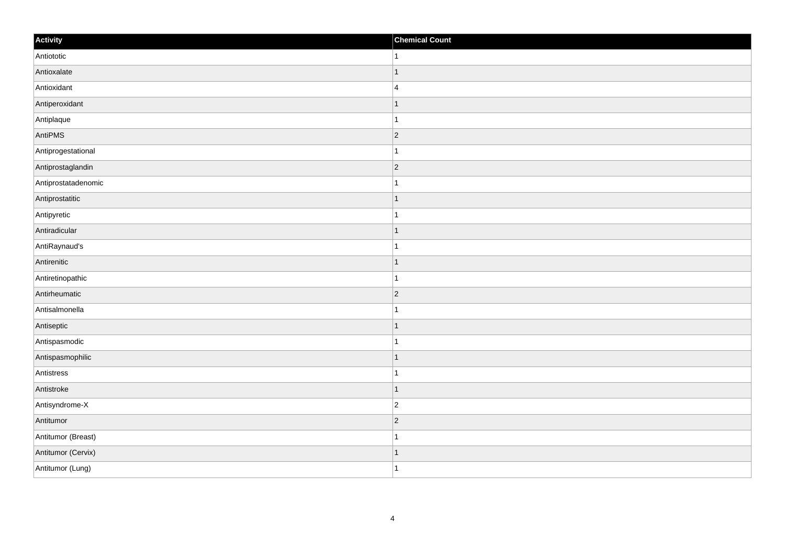| Activity            | <b>Chemical Count</b>    |
|---------------------|--------------------------|
| Antiototic          | 1                        |
| Antioxalate         |                          |
| Antioxidant         | $\overline{4}$           |
| Antiperoxidant      | 1                        |
| Antiplaque          | 1                        |
| AntiPMS             | 2                        |
| Antiprogestational  |                          |
| Antiprostaglandin   | $ 2\rangle$              |
| Antiprostatadenomic |                          |
| Antiprostatitic     | 1                        |
| Antipyretic         | 1                        |
| Antiradicular       |                          |
| AntiRaynaud's       |                          |
| Antirenitic         |                          |
| Antiretinopathic    |                          |
| Antirheumatic       | $\vert$ 2                |
| Antisalmonella      |                          |
| Antiseptic          | ٠                        |
| Antispasmodic       |                          |
| Antispasmophilic    | $\overline{\phantom{a}}$ |
| Antistress          |                          |
| Antistroke          | 1                        |
| Antisyndrome-X      | $\overline{2}$           |
| Antitumor           | $\vert$ 2                |
| Antitumor (Breast)  |                          |
| Antitumor (Cervix)  | -1                       |
| Antitumor (Lung)    | 1                        |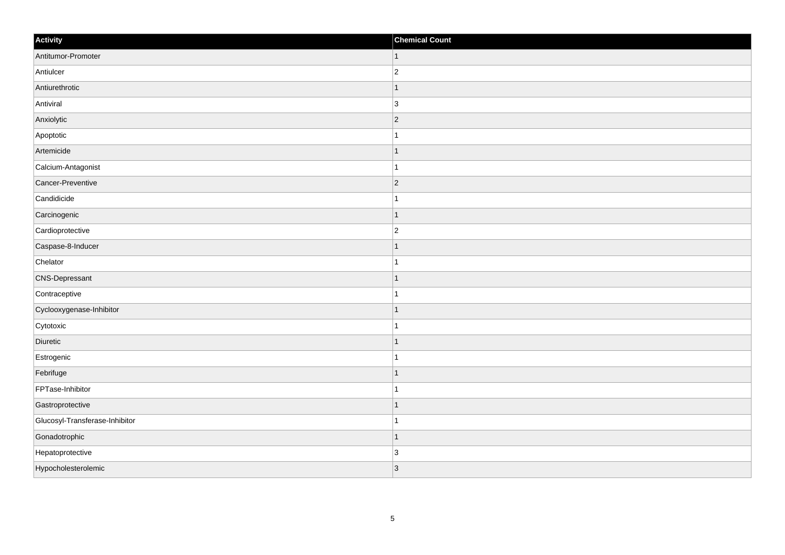| Activity                       | <b>Chemical Count</b>    |
|--------------------------------|--------------------------|
| Antitumor-Promoter             | $\vert$ 1                |
| Antiulcer                      | $\overline{2}$           |
| Antiurethrotic                 |                          |
| Antiviral                      | 3                        |
| Anxiolytic                     | $\overline{2}$           |
| Apoptotic                      |                          |
| Artemicide                     | -1                       |
| Calcium-Antagonist             | 1                        |
| Cancer-Preventive              | $\vert$ 2                |
| Candidicide                    |                          |
| Carcinogenic                   |                          |
| Cardioprotective               | $\overline{c}$           |
| Caspase-8-Inducer              | 1                        |
| Chelator                       |                          |
| <b>CNS-Depressant</b>          |                          |
| Contraceptive                  |                          |
| Cyclooxygenase-Inhibitor       |                          |
| Cytotoxic                      |                          |
| Diuretic                       | $\overline{\phantom{a}}$ |
| Estrogenic                     |                          |
| Febrifuge                      |                          |
| FPTase-Inhibitor               |                          |
| Gastroprotective               |                          |
| Glucosyl-Transferase-Inhibitor |                          |
| Gonadotrophic                  |                          |
| Hepatoprotective               | $\overline{3}$           |
| Hypocholesterolemic            | 3                        |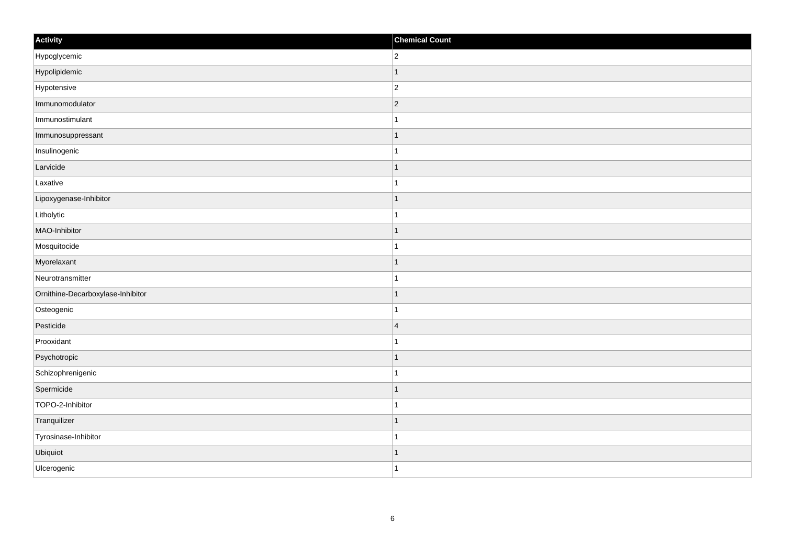| Activity                          | <b>Chemical Count</b> |
|-----------------------------------|-----------------------|
| Hypoglycemic                      | $\overline{2}$        |
| Hypolipidemic                     | $\mathbf 1$           |
| Hypotensive                       | $ 2\rangle$           |
| Immunomodulator                   | $ 2\rangle$           |
| Immunostimulant                   | $\mathbf 1$           |
| Immunosuppressant                 |                       |
| Insulinogenic                     | 1                     |
| Larvicide                         |                       |
| Laxative                          |                       |
| Lipoxygenase-Inhibitor            | $\mathbf{1}$          |
| Litholytic                        | $\mathbf{1}$          |
| MAO-Inhibitor                     |                       |
| Mosquitocide                      | 1                     |
| Myorelaxant                       | 1                     |
| Neurotransmitter                  |                       |
| Ornithine-Decarboxylase-Inhibitor | $\mathbf 1$           |
| Osteogenic                        | 1                     |
| Pesticide                         | $\overline{4}$        |
| Prooxidant                        | $\mathbf 1$           |
| Psychotropic                      | $\mathbf 1$           |
| Schizophrenigenic                 | 1                     |
| Spermicide                        | $\mathbf{1}$          |
| TOPO-2-Inhibitor                  | 1                     |
| Tranquilizer                      | $\mathbf 1$           |
| Tyrosinase-Inhibitor              | $\overline{1}$        |
| Ubiquiot                          | $\mathbf 1$           |
| Ulcerogenic                       | $\overline{1}$        |